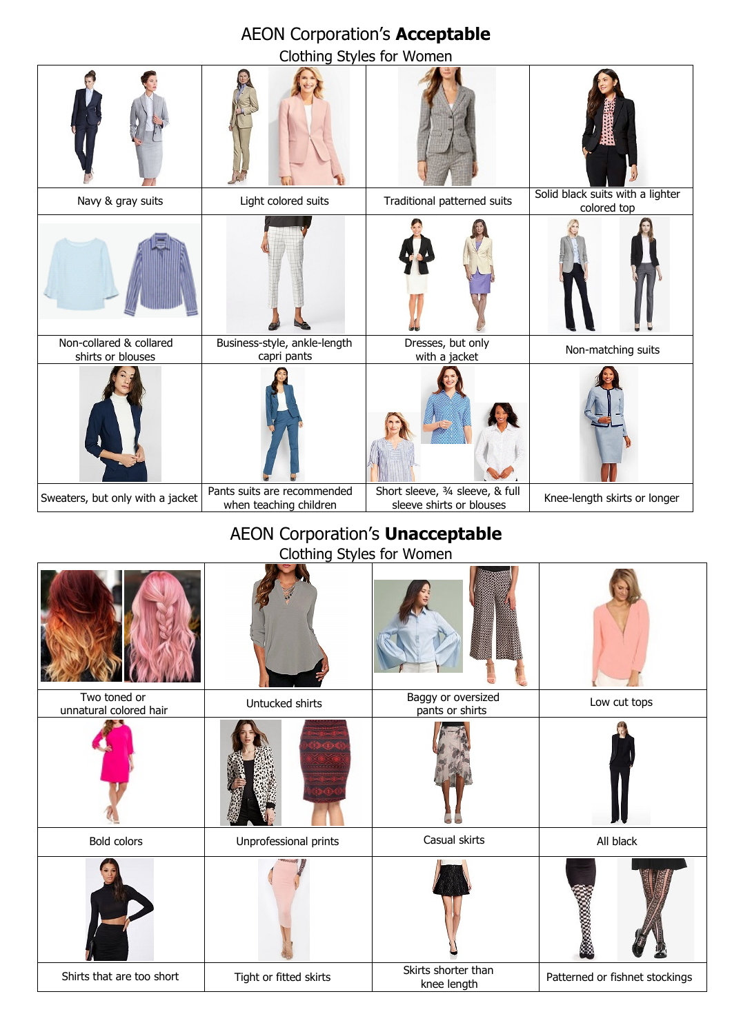| <b>AEON Corporation's Acceptable</b>         |                                                       |                                                              |                                                 |  |  |
|----------------------------------------------|-------------------------------------------------------|--------------------------------------------------------------|-------------------------------------------------|--|--|
| Clothing Styles for Women                    |                                                       |                                                              |                                                 |  |  |
|                                              |                                                       |                                                              |                                                 |  |  |
| Navy & gray suits                            | Light colored suits                                   | Traditional patterned suits                                  | Solid black suits with a lighter<br>colored top |  |  |
|                                              |                                                       |                                                              |                                                 |  |  |
| Non-collared & collared<br>shirts or blouses | Business-style, ankle-length<br>capri pants           | Dresses, but only<br>with a jacket                           | Non-matching suits                              |  |  |
|                                              |                                                       |                                                              |                                                 |  |  |
| Sweaters, but only with a jacket             | Pants suits are recommended<br>when teaching children | Short sleeve, 3/4 sleeve, & full<br>sleeve shirts or blouses | Knee-length skirts or longer                    |  |  |

## AEON Corporation's **Unacceptable** Clothing Styles for Women

| Two toned or<br>unnatural colored hair | Untucked shirts        | Baggy or oversized<br>pants or shirts | Low cut tops                   |
|----------------------------------------|------------------------|---------------------------------------|--------------------------------|
|                                        |                        |                                       |                                |
| Bold colors                            | Unprofessional prints  | Casual skirts                         | All black                      |
|                                        |                        |                                       | Š                              |
| Shirts that are too short              | Tight or fitted skirts | Skirts shorter than<br>knee length    | Patterned or fishnet stockings |